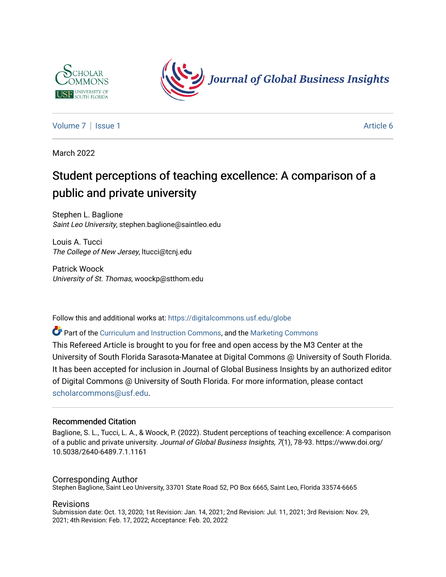



[Volume 7](https://digitalcommons.usf.edu/globe/vol7) | [Issue 1](https://digitalcommons.usf.edu/globe/vol7/iss1) Article 6

March 2022

# Student perceptions of teaching excellence: A comparison of a public and private university

Stephen L. Baglione Saint Leo University, stephen.baglione@saintleo.edu

Louis A. Tucci The College of New Jersey, ltucci@tcnj.edu

Patrick Woock University of St. Thomas, woockp@stthom.edu

Follow this and additional works at: [https://digitalcommons.usf.edu/globe](https://digitalcommons.usf.edu/globe?utm_source=digitalcommons.usf.edu%2Fglobe%2Fvol7%2Fiss1%2F6&utm_medium=PDF&utm_campaign=PDFCoverPages) 

Part of the [Curriculum and Instruction Commons,](http://network.bepress.com/hgg/discipline/786?utm_source=digitalcommons.usf.edu%2Fglobe%2Fvol7%2Fiss1%2F6&utm_medium=PDF&utm_campaign=PDFCoverPages) and the [Marketing Commons](http://network.bepress.com/hgg/discipline/638?utm_source=digitalcommons.usf.edu%2Fglobe%2Fvol7%2Fiss1%2F6&utm_medium=PDF&utm_campaign=PDFCoverPages) 

This Refereed Article is brought to you for free and open access by the M3 Center at the University of South Florida Sarasota-Manatee at Digital Commons @ University of South Florida. It has been accepted for inclusion in Journal of Global Business Insights by an authorized editor of Digital Commons @ University of South Florida. For more information, please contact [scholarcommons@usf.edu.](mailto:scholarcommons@usf.edu)

#### Recommended Citation

Baglione, S. L., Tucci, L. A., & Woock, P. (2022). Student perceptions of teaching excellence: A comparison of a public and private university. Journal of Global Business Insights, 7(1), 78-93. https://www.doi.org/ 10.5038/2640-6489.7.1.1161

#### Corresponding Author

Stephen Baglione, Saint Leo University, 33701 State Road 52, PO Box 6665, Saint Leo, Florida 33574-6665

#### Revisions

Submission date: Oct. 13, 2020; 1st Revision: Jan. 14, 2021; 2nd Revision: Jul. 11, 2021; 3rd Revision: Nov. 29, 2021; 4th Revision: Feb. 17, 2022; Acceptance: Feb. 20, 2022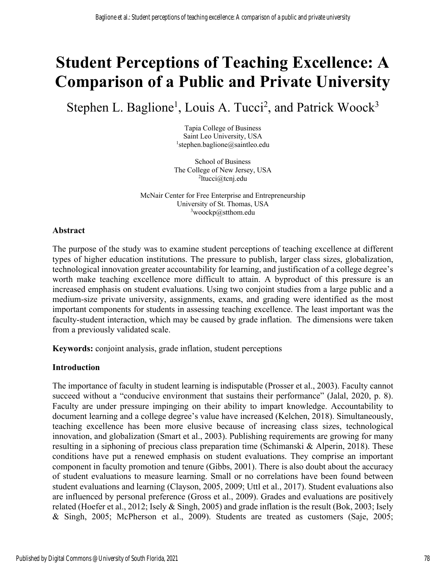# **Student Perceptions of Teaching Excellence: A Comparison of a Public and Private University**

Stephen L. Baglione<sup>1</sup>, Louis A. Tucci<sup>2</sup>, and Patrick Woock<sup>3</sup>

Tapia College of Business Saint Leo University, USA 1 stephen.baglione@saintleo.edu

School of Business The College of New Jersey, USA 2 ltucci@tcnj.edu

McNair Center for Free Enterprise and Entrepreneurship University of St. Thomas, USA <sup>3</sup>woockp@stthom.edu

# **Abstract**

The purpose of the study was to examine student perceptions of teaching excellence at different types of higher education institutions. The pressure to publish, larger class sizes, globalization, technological innovation greater accountability for learning, and justification of a college degree's worth make teaching excellence more difficult to attain. A byproduct of this pressure is an increased emphasis on student evaluations. Using two conjoint studies from a large public and a medium-size private university, assignments, exams, and grading were identified as the most important components for students in assessing teaching excellence. The least important was the faculty-student interaction, which may be caused by grade inflation. The dimensions were taken from a previously validated scale.

**Keywords:** conjoint analysis, grade inflation, student perceptions

#### **Introduction**

The importance of faculty in student learning is indisputable (Prosser et al., 2003). Faculty cannot succeed without a "conducive environment that sustains their performance" (Jalal, 2020, p. 8). Faculty are under pressure impinging on their ability to impart knowledge. Accountability to document learning and a college degree's value have increased (Kelchen, 2018). Simultaneously, teaching excellence has been more elusive because of increasing class sizes, technological innovation, and globalization (Smart et al., 2003). Publishing requirements are growing for many resulting in a siphoning of precious class preparation time (Schimanski & Alperin, 2018). These conditions have put a renewed emphasis on student evaluations. They comprise an important component in faculty promotion and tenure (Gibbs, 2001). There is also doubt about the accuracy of student evaluations to measure learning. Small or no correlations have been found between student evaluations and learning (Clayson, 2005, 2009; Uttl et al., 2017). Student evaluations also are influenced by personal preference (Gross et al., 2009). Grades and evaluations are positively related (Hoefer et al., 2012; Isely & Singh, 2005) and grade inflation is the result (Bok, 2003; Isely & Singh, 2005; McPherson et al., 2009). Students are treated as customers (Saje, 2005;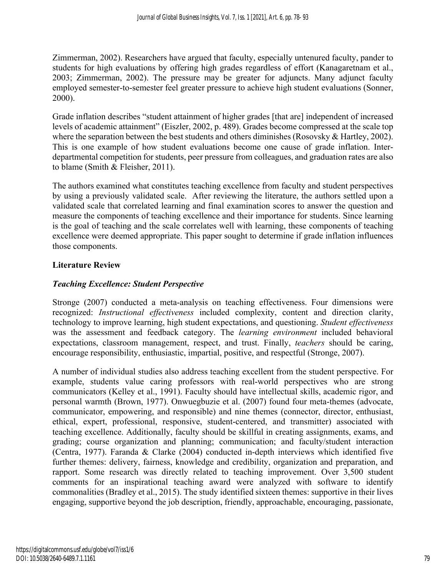Zimmerman, 2002). Researchers have argued that faculty, especially untenured faculty, pander to students for high evaluations by offering high grades regardless of effort (Kanagaretnam et al., 2003; Zimmerman, 2002). The pressure may be greater for adjuncts. Many adjunct faculty employed semester-to-semester feel greater pressure to achieve high student evaluations (Sonner, 2000).

Grade inflation describes "student attainment of higher grades [that are] independent of increased levels of academic attainment" (Eiszler, 2002, p. 489). Grades become compressed at the scale top where the separation between the best students and others diminishes (Rosovsky & Hartley, 2002). This is one example of how student evaluations become one cause of grade inflation. Interdepartmental competition for students, peer pressure from colleagues, and graduation rates are also to blame (Smith & Fleisher, 2011).

The authors examined what constitutes teaching excellence from faculty and student perspectives by using a previously validated scale. After reviewing the literature, the authors settled upon a validated scale that correlated learning and final examination scores to answer the question and measure the components of teaching excellence and their importance for students. Since learning is the goal of teaching and the scale correlates well with learning, these components of teaching excellence were deemed appropriate. This paper sought to determine if grade inflation influences those components.

#### **Literature Review**

#### *Teaching Excellence: Student Perspective*

Stronge (2007) conducted a meta-analysis on teaching effectiveness. Four dimensions were recognized: *Instructional effectiveness* included complexity, content and direction clarity, technology to improve learning, high student expectations, and questioning. *Student effectiveness* was the assessment and feedback category. The *learning environment* included behavioral expectations, classroom management, respect, and trust. Finally, *teachers* should be caring, encourage responsibility, enthusiastic, impartial, positive, and respectful (Stronge, 2007).

A number of individual studies also address teaching excellent from the student perspective. For example, students value caring professors with real-world perspectives who are strong communicators (Kelley et al., 1991). Faculty should have intellectual skills, academic rigor, and personal warmth (Brown, 1977). Onwuegbuzie et al. (2007) found four meta-themes (advocate, communicator, empowering, and responsible) and nine themes (connector, director, enthusiast, ethical, expert, professional, responsive, student-centered, and transmitter) associated with teaching excellence. Additionally, faculty should be skillful in creating assignments, exams, and grading; course organization and planning; communication; and faculty/student interaction (Centra, 1977). Faranda & Clarke (2004) conducted in-depth interviews which identified five further themes: delivery, fairness, knowledge and credibility, organization and preparation, and rapport. Some research was directly related to teaching improvement. Over 3,500 student comments for an inspirational teaching award were analyzed with software to identify commonalities (Bradley et al., 2015). The study identified sixteen themes: supportive in their lives engaging, supportive beyond the job description, friendly, approachable, encouraging, passionate,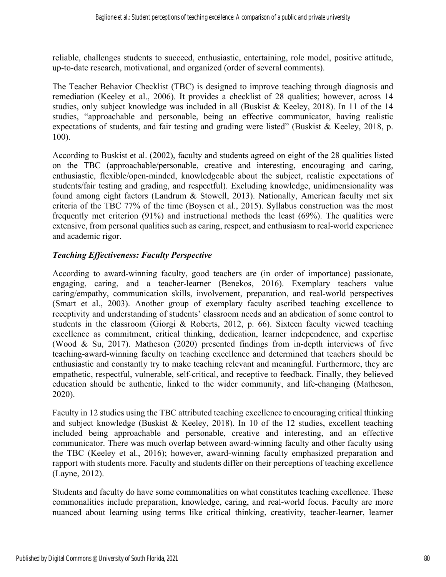reliable, challenges students to succeed, enthusiastic, entertaining, role model, positive attitude, up-to-date research, motivational, and organized (order of several comments).

The Teacher Behavior Checklist (TBC) is designed to improve teaching through diagnosis and remediation (Keeley et al., 2006). It provides a checklist of 28 qualities; however, across 14 studies, only subject knowledge was included in all (Buskist & Keeley, 2018). In 11 of the 14 studies, "approachable and personable, being an effective communicator, having realistic expectations of students, and fair testing and grading were listed" (Buskist & Keeley, 2018, p. 100).

According to Buskist et al. (2002), faculty and students agreed on eight of the 28 qualities listed on the TBC (approachable/personable, creative and interesting, encouraging and caring, enthusiastic, flexible/open-minded, knowledgeable about the subject, realistic expectations of students/fair testing and grading, and respectful). Excluding knowledge, unidimensionality was found among eight factors (Landrum & Stowell, 2013). Nationally, American faculty met six criteria of the TBC 77% of the time (Boysen et al., 2015). Syllabus construction was the most frequently met criterion (91%) and instructional methods the least (69%). The qualities were extensive, from personal qualities such as caring, respect, and enthusiasm to real-world experience and academic rigor.

#### *Teaching Effectiveness: Faculty Perspective*

According to award-winning faculty, good teachers are (in order of importance) passionate, engaging, caring, and a teacher-learner (Benekos, 2016). Exemplary teachers value caring/empathy, communication skills, involvement, preparation, and real-world perspectives (Smart et al., 2003). Another group of exemplary faculty ascribed teaching excellence to receptivity and understanding of students' classroom needs and an abdication of some control to students in the classroom (Giorgi & Roberts, 2012, p. 66). Sixteen faculty viewed teaching excellence as commitment, critical thinking, dedication, learner independence, and expertise (Wood & Su, 2017). Matheson (2020) presented findings from in-depth interviews of five teaching-award-winning faculty on teaching excellence and determined that teachers should be enthusiastic and constantly try to make teaching relevant and meaningful. Furthermore, they are empathetic, respectful, vulnerable, self-critical, and receptive to feedback. Finally, they believed education should be authentic, linked to the wider community, and life-changing (Matheson, 2020).

Faculty in 12 studies using the TBC attributed teaching excellence to encouraging critical thinking and subject knowledge (Buskist & Keeley, 2018). In 10 of the 12 studies, excellent teaching included being approachable and personable, creative and interesting, and an effective communicator. There was much overlap between award-winning faculty and other faculty using the TBC (Keeley et al., 2016); however, award-winning faculty emphasized preparation and rapport with students more. Faculty and students differ on their perceptions of teaching excellence (Layne, 2012).

Students and faculty do have some commonalities on what constitutes teaching excellence. These commonalities include preparation, knowledge, caring, and real-world focus. Faculty are more nuanced about learning using terms like critical thinking, creativity, teacher-learner, learner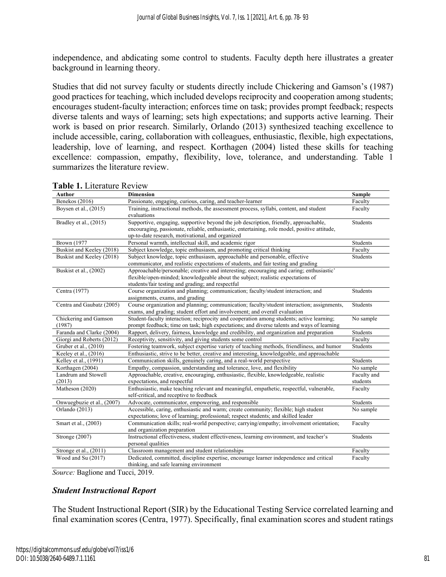independence, and abdicating some control to students. Faculty depth here illustrates a greater background in learning theory.

Studies that did not survey faculty or students directly include Chickering and Gamson's (1987) good practices for teaching, which included develops reciprocity and cooperation among students; encourages student-faculty interaction; enforces time on task; provides prompt feedback; respects diverse talents and ways of learning; sets high expectations; and supports active learning. Their work is based on prior research. Similarly, Orlando (2013) synthesized teaching excellence to include accessible, caring, collaboration with colleagues, enthusiastic, flexible, high expectations, leadership, love of learning, and respect. Korthagen (2004) listed these skills for teaching excellence: compassion, empathy, flexibility, love, tolerance, and understanding. Table 1 summarizes the literature review.

| Author                          | <b>Dimension</b>                                                                                                                                                                                                                          | <b>Sample</b>   |
|---------------------------------|-------------------------------------------------------------------------------------------------------------------------------------------------------------------------------------------------------------------------------------------|-----------------|
| Benekos (2016)                  | Passionate, engaging, curious, caring, and teacher-learner                                                                                                                                                                                | Faculty         |
| Boysen et al., (2015)           | Training, instructional methods, the assessment process, syllabi, content, and student<br>evaluations                                                                                                                                     | Faculty         |
| Bradley et al., (2015)          | Supportive, engaging, supportive beyond the job description, friendly, approachable,<br>encouraging, passionate, reliable, enthusiastic, entertaining, role model, positive attitude,<br>up-to-date research, motivational, and organized | <b>Students</b> |
| <b>Brown</b> (1977              | Personal warmth, intellectual skill, and academic rigor                                                                                                                                                                                   | Students        |
| Buskist and Keeley (2018)       | Subject knowledge, topic enthusiasm, and promoting critical thinking                                                                                                                                                                      | Faculty         |
| Buskist and Keeley (2018)       | Subject knowledge, topic enthusiasm, approachable and personable, effective<br>communicator, and realistic expectations of students, and fair testing and grading                                                                         | Students        |
| Buskist et al., (2002)          | Approachable/personable; creative and interesting; encouraging and caring; enthusiastic'<br>flexible/open-minded; knowledgeable about the subject; realistic expectations of<br>students/fair testing and grading; and respectful         |                 |
| Centra (1977)                   | Course organization and planning; communication; faculty/student interaction; and<br>assignments, exams, and grading                                                                                                                      | <b>Students</b> |
| Centra and Gaubatz (2005)       | Course organization and planning; communication; faculty/student interaction; assignments,<br>exams, and grading; student effort and involvement; and overall evaluation                                                                  | <b>Students</b> |
| Chickering and Gamson<br>(1987) | Student-faculty interaction; reciprocity and cooperation among students; active learning;<br>prompt feedback; time on task; high expectations; and diverse talents and ways of learning                                                   | No sample       |
| Faranda and Clarke (2004)       | Rapport, delivery, fairness, knowledge and credibility, and organization and preparation                                                                                                                                                  | Students        |
| Giorgi and Roberts (2012)       | Receptivity, sensitivity, and giving students some control                                                                                                                                                                                | Faculty         |
| Gruber et al., (2010)           | Fostering teamwork, subject expertise variety of teaching methods, friendliness, and humor                                                                                                                                                | Students        |
| Keeley et al., (2016)           | Enthusiastic, strive to be better, creative and interesting, knowledgeable, and approachable                                                                                                                                              |                 |
| Kelley et al., (1991)           | Communication skills, genuinely caring, and a real-world perspective                                                                                                                                                                      | Students        |
| Korthagen (2004)                | Empathy, compassion, understanding and tolerance, love, and flexibility                                                                                                                                                                   | No sample       |
| Landrum and Stowell             | Approachable, creative, encouraging, enthusiastic, flexible, knowledgeable, realistic                                                                                                                                                     | Faculty and     |
| (2013)                          | expectations, and respectful                                                                                                                                                                                                              | students        |
| Matheson (2020)                 | Enthusiastic, make teaching relevant and meaningful, empathetic, respectful, vulnerable,<br>self-critical, and receptive to feedback                                                                                                      | Faculty         |
| Onwuegbuzie et al., (2007)      | Advocate, communicator, empowering, and responsible                                                                                                                                                                                       | Students        |
| Orlando (2013)                  | Accessible, caring, enthusiastic and warm; create community; flexible; high student<br>expectations; love of learning; professional; respect students; and skilled leader                                                                 | No sample       |
| Smart et al., (2003)            | Communication skills; real-world perspective; carrying/empathy; involvement orientation;<br>and organization preparation                                                                                                                  | Faculty         |
| Stronge (2007)                  | Instructional effectiveness, student effectiveness, learning environment, and teacher's<br>personal qualities                                                                                                                             | Students        |
| Stronge et al., (2011)          | Classroom management and student relationships                                                                                                                                                                                            | Faculty         |
| Wood and Su (2017)              | Dedicated, committed, discipline expertise, encourage learner independence and critical<br>thinking, and safe learning environment                                                                                                        | Faculty         |

| <b>Table 1. Literature Review</b> |
|-----------------------------------|
|-----------------------------------|

*Source:* Baglione and Tucci, 2019.

#### *Student Instructional Report*

The Student Instructional Report (SIR) by the Educational Testing Service correlated learning and final examination scores (Centra, 1977). Specifically, final examination scores and student ratings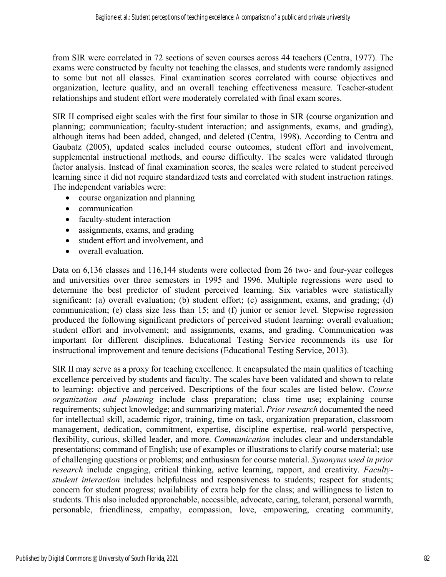from SIR were correlated in 72 sections of seven courses across 44 teachers (Centra, 1977). The exams were constructed by faculty not teaching the classes, and students were randomly assigned to some but not all classes. Final examination scores correlated with course objectives and organization, lecture quality, and an overall teaching effectiveness measure. Teacher-student relationships and student effort were moderately correlated with final exam scores.

SIR II comprised eight scales with the first four similar to those in SIR (course organization and planning; communication; faculty-student interaction; and assignments, exams, and grading), although items had been added, changed, and deleted (Centra, 1998). According to Centra and Gaubatz (2005), updated scales included course outcomes, student effort and involvement, supplemental instructional methods, and course difficulty. The scales were validated through factor analysis. Instead of final examination scores, the scales were related to student perceived learning since it did not require standardized tests and correlated with student instruction ratings. The independent variables were:

- course organization and planning
- communication
- faculty-student interaction
- assignments, exams, and grading
- student effort and involvement, and
- overall evaluation.

Data on 6,136 classes and 116,144 students were collected from 26 two- and four-year colleges and universities over three semesters in 1995 and 1996. Multiple regressions were used to determine the best predictor of student perceived learning. Six variables were statistically significant: (a) overall evaluation; (b) student effort; (c) assignment, exams, and grading; (d) communication; (e) class size less than 15; and (f) junior or senior level. Stepwise regression produced the following significant predictors of perceived student learning: overall evaluation; student effort and involvement; and assignments, exams, and grading. Communication was important for different disciplines. Educational Testing Service recommends its use for instructional improvement and tenure decisions (Educational Testing Service, 2013).

SIR II may serve as a proxy for teaching excellence. It encapsulated the main qualities of teaching excellence perceived by students and faculty. The scales have been validated and shown to relate to learning: objective and perceived. Descriptions of the four scales are listed below. *Course organization and planning* include class preparation; class time use; explaining course requirements; subject knowledge; and summarizing material. *Prior research* documented the need for intellectual skill, academic rigor, training, time on task, organization preparation, classroom management, dedication, commitment, expertise, discipline expertise, real-world perspective, flexibility, curious, skilled leader, and more. *Communication* includes clear and understandable presentations; command of English; use of examples or illustrations to clarify course material; use of challenging questions or problems; and enthusiasm for course material. *Synonyms used in prior research* include engaging, critical thinking, active learning, rapport, and creativity. *Facultystudent interaction* includes helpfulness and responsiveness to students; respect for students; concern for student progress; availability of extra help for the class; and willingness to listen to students. This also included approachable, accessible, advocate, caring, tolerant, personal warmth, personable, friendliness, empathy, compassion, love, empowering, creating community,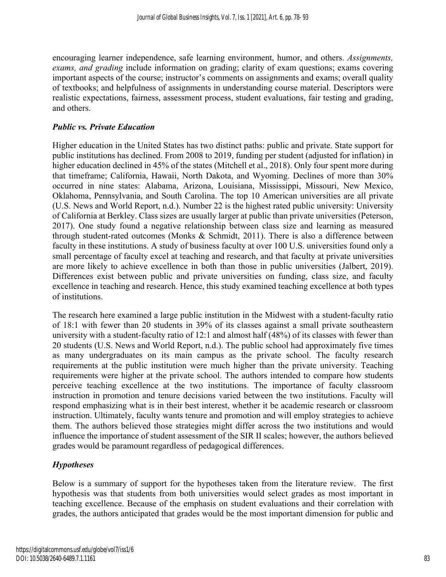encouraging learner independence, safe learning environment, humor, and others. *Assignments, exams, and grading* include information on grading; clarity of exam questions; exams covering important aspects of the course; instructor's comments on assignments and exams; overall quality of textbooks; and helpfulness of assignments in understanding course material. Descriptors were realistic expectations, fairness, assessment process, student evaluations, fair testing and grading, and others.

#### *Public vs. Private Education*

Higher education in the United States has two distinct paths: public and private. State support for public institutions has declined. From 2008 to 2019, funding per student (adjusted for inflation) in higher education declined in 45% of the states (Mitchell et al., 2018). Only four spent more during that timeframe; California, Hawaii, North Dakota, and Wyoming. Declines of more than 30% occurred in nine states: Alabama, Arizona, Louisiana, Mississippi, Missouri, New Mexico, Oklahoma, Pennsylvania, and South Carolina. The top 10 American universities are all private (U.S. News and World Report, n.d.). Number 22 is the highest rated public university: University of California at Berkley. Class sizes are usually larger at public than private universities (Peterson, 2017). One study found a negative relationship between class size and learning as measured through student-rated outcomes (Monks & Schmidt, 2011). There is also a difference between faculty in these institutions. A study of business faculty at over 100 U.S. universities found only a small percentage of faculty excel at teaching and research, and that faculty at private universities are more likely to achieve excellence in both than those in public universities (Jalbert, 2019). Differences exist between public and private universities on funding, class size, and faculty excellence in teaching and research. Hence, this study examined teaching excellence at both types of institutions.

The research here examined a large public institution in the Midwest with a student-faculty ratio of 18:1 with fewer than 20 students in 39% of its classes against a small private southeastern university with a student-faculty ratio of 12:1 and almost half (48%) of its classes with fewer than 20 students (U.S. News and World Report, n.d.). The public school had approximately five times as many undergraduates on its main campus as the private school. The faculty research requirements at the public institution were much higher than the private university. Teaching requirements were higher at the private school. The authors intended to compare how students perceive teaching excellence at the two institutions. The importance of faculty classroom instruction in promotion and tenure decisions varied between the two institutions. Faculty will respond emphasizing what is in their best interest, whether it be academic research or classroom instruction. Ultimately, faculty wants tenure and promotion and will employ strategies to achieve them. The authors believed those strategies might differ across the two institutions and would influence the importance of student assessment of the SIR II scales; however, the authors believed grades would be paramount regardless of pedagogical differences.

#### *Hypotheses*

Below is a summary of support for the hypotheses taken from the literature review. The first hypothesis was that students from both universities would select grades as most important in teaching excellence. Because of the emphasis on student evaluations and their correlation with grades, the authors anticipated that grades would be the most important dimension for public and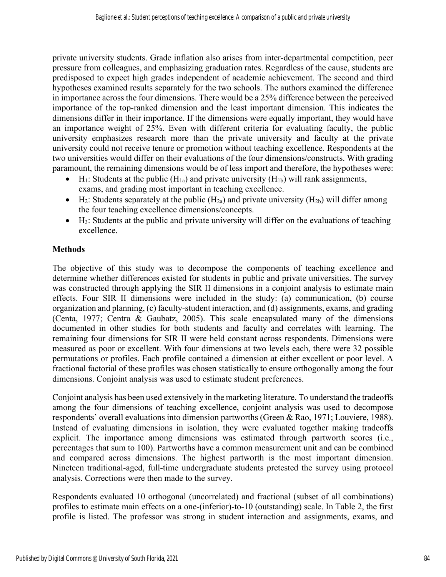private university students. Grade inflation also arises from inter-departmental competition, peer pressure from colleagues, and emphasizing graduation rates. Regardless of the cause, students are predisposed to expect high grades independent of academic achievement. The second and third hypotheses examined results separately for the two schools. The authors examined the difference in importance across the four dimensions. There would be a 25% difference between the perceived importance of the top-ranked dimension and the least important dimension. This indicates the dimensions differ in their importance. If the dimensions were equally important, they would have an importance weight of 25%. Even with different criteria for evaluating faculty, the public university emphasizes research more than the private university and faculty at the private university could not receive tenure or promotion without teaching excellence. Respondents at the two universities would differ on their evaluations of the four dimensions/constructs. With grading paramount, the remaining dimensions would be of less import and therefore, the hypotheses were:

- H<sub>1</sub>: Students at the public  $(H_{1a})$  and private university  $(H_{1b})$  will rank assignments, exams, and grading most important in teaching excellence.
- H<sub>2</sub>: Students separately at the public  $(H_{2a})$  and private university  $(H_{2b})$  will differ among the four teaching excellence dimensions/concepts.
- $\bullet$  H<sub>3</sub>: Students at the public and private university will differ on the evaluations of teaching excellence.

# **Methods**

The objective of this study was to decompose the components of teaching excellence and determine whether differences existed for students in public and private universities. The survey was constructed through applying the SIR II dimensions in a conjoint analysis to estimate main effects. Four SIR II dimensions were included in the study: (a) communication, (b) course organization and planning, (c) faculty-student interaction, and (d) assignments, exams, and grading (Centa, 1977; Centra & Gaubatz, 2005). This scale encapsulated many of the dimensions documented in other studies for both students and faculty and correlates with learning. The remaining four dimensions for SIR II were held constant across respondents. Dimensions were measured as poor or excellent. With four dimensions at two levels each, there were 32 possible permutations or profiles. Each profile contained a dimension at either excellent or poor level. A fractional factorial of these profiles was chosen statistically to ensure orthogonally among the four dimensions. Conjoint analysis was used to estimate student preferences.

Conjoint analysis has been used extensively in the marketing literature. To understand the tradeoffs among the four dimensions of teaching excellence, conjoint analysis was used to decompose respondents' overall evaluations into dimension partworths (Green & Rao, 1971; Louviere, 1988). Instead of evaluating dimensions in isolation, they were evaluated together making tradeoffs explicit. The importance among dimensions was estimated through partworth scores (i.e., percentages that sum to 100). Partworths have a common measurement unit and can be combined and compared across dimensions. The highest partworth is the most important dimension. Nineteen traditional-aged, full-time undergraduate students pretested the survey using protocol analysis. Corrections were then made to the survey.

Respondents evaluated 10 orthogonal (uncorrelated) and fractional (subset of all combinations) profiles to estimate main effects on a one-(inferior)-to-10 (outstanding) scale. In Table 2, the first profile is listed. The professor was strong in student interaction and assignments, exams, and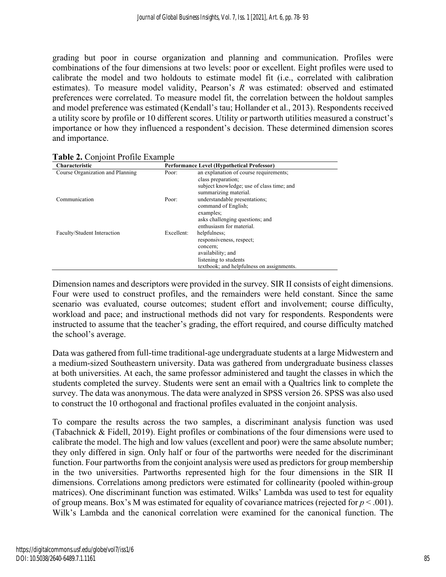grading but poor in course organization and planning and communication. Profiles were combinations of the four dimensions at two levels: poor or excellent. Eight profiles were used to calibrate the model and two holdouts to estimate model fit (i.e., correlated with calibration estimates). To measure model validity, Pearson's *R* was estimated: observed and estimated preferences were correlated. To measure model fit, the correlation between the holdout samples and model preference was estimated (Kendall's tau; Hollander et al., 2013). Respondents received a utility score by profile or 10 different scores. Utility or partworth utilities measured a construct's importance or how they influenced a respondent's decision. These determined dimension scores and importance.

| Characteristic                   |            | <b>Performance Level (Hypothetical Professor)</b>                                        |
|----------------------------------|------------|------------------------------------------------------------------------------------------|
| Course Organization and Planning | Poor:      | an explanation of course requirements;                                                   |
|                                  |            | class preparation;<br>subject knowledge; use of class time; and<br>summarizing material. |
| Communication                    | Poor:      | understandable presentations;<br>command of English:<br>examples;                        |
|                                  |            | asks challenging questions; and<br>enthusiasm for material.                              |
| Faculty/Student Interaction      | Excellent: | helpfulness;                                                                             |
|                                  |            | responsiveness, respect;                                                                 |
|                                  |            | concern;<br>availability; and                                                            |
|                                  |            | listening to students                                                                    |
|                                  |            | textbook; and helpfulness on assignments.                                                |

| Table 2. Conjoint Profile Example |  |
|-----------------------------------|--|
|-----------------------------------|--|

Dimension names and descriptors were provided in the survey. SIR II consists of eight dimensions. Four were used to construct profiles, and the remainders were held constant. Since the same scenario was evaluated, course outcomes; student effort and involvement; course difficulty, workload and pace; and instructional methods did not vary for respondents. Respondents were instructed to assume that the teacher's grading, the effort required, and course difficulty matched the school's average.

Data was gathered from full-time traditional-age undergraduate students at a large Midwestern and a medium-sized Southeastern university. Data was gathered from undergraduate business classes at both universities. At each, the same professor administered and taught the classes in which the students completed the survey. Students were sent an email with a Qualtrics link to complete the survey. The data was anonymous. The data were analyzed in SPSS version 26. SPSS was also used to construct the 10 orthogonal and fractional profiles evaluated in the conjoint analysis.

To compare the results across the two samples, a discriminant analysis function was used (Tabachnick & Fidell, 2019). Eight profiles or combinations of the four dimensions were used to calibrate the model. The high and low values (excellent and poor) were the same absolute number; they only differed in sign. Only half or four of the partworths were needed for the discriminant function. Four partworths from the conjoint analysis were used as predictors for group membership in the two universities. Partworths represented high for the four dimensions in the SIR II dimensions. Correlations among predictors were estimated for collinearity (pooled within-group matrices). One discriminant function was estimated. Wilks' Lambda was used to test for equality of group means. Box's M was estimated for equality of covariance matrices (rejected for *p* < .001). Wilk's Lambda and the canonical correlation were examined for the canonical function. The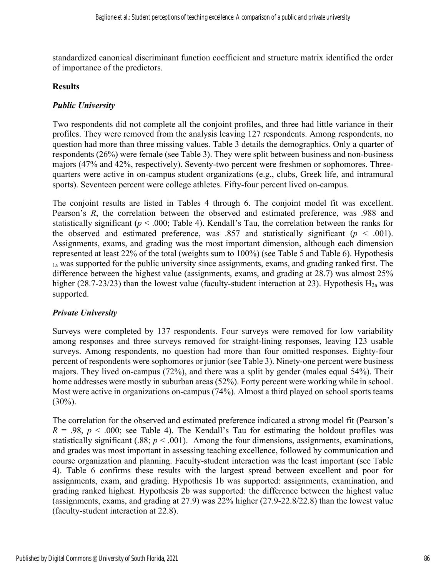standardized canonical discriminant function coefficient and structure matrix identified the order of importance of the predictors.

#### **Results**

# *Public University*

Two respondents did not complete all the conjoint profiles, and three had little variance in their profiles. They were removed from the analysis leaving 127 respondents. Among respondents, no question had more than three missing values. Table 3 details the demographics. Only a quarter of respondents (26%) were female (see Table 3). They were split between business and non-business majors (47% and 42%, respectively). Seventy-two percent were freshmen or sophomores. Threequarters were active in on-campus student organizations (e.g., clubs, Greek life, and intramural sports). Seventeen percent were college athletes. Fifty-four percent lived on-campus.

The conjoint results are listed in Tables 4 through 6. The conjoint model fit was excellent. Pearson's *R*, the correlation between the observed and estimated preference, was .988 and statistically significant ( $p < .000$ ; Table 4). Kendall's Tau, the correlation between the ranks for the observed and estimated preference, was .857 and statistically significant ( $p < .001$ ). Assignments, exams, and grading was the most important dimension, although each dimension represented at least 22% of the total (weights sum to 100%) (see Table 5 and Table 6). Hypothesis 1a was supported for the public university since assignments, exams, and grading ranked first. The difference between the highest value (assignments, exams, and grading at 28.7) was almost 25% higher (28.7-23/23) than the lowest value (faculty-student interaction at 23). Hypothesis  $H_{2a}$  was supported.

# *Private University*

Surveys were completed by 137 respondents. Four surveys were removed for low variability among responses and three surveys removed for straight-lining responses, leaving 123 usable surveys. Among respondents, no question had more than four omitted responses. Eighty-four percent of respondents were sophomores or junior (see Table 3). Ninety-one percent were business majors. They lived on-campus (72%), and there was a split by gender (males equal 54%). Their home addresses were mostly in suburban areas (52%). Forty percent were working while in school. Most were active in organizations on-campus (74%). Almost a third played on school sports teams  $(30\%)$ .

The correlation for the observed and estimated preference indicated a strong model fit (Pearson's  $R = .98$ ,  $p < .000$ ; see Table 4). The Kendall's Tau for estimating the holdout profiles was statistically significant (.88;  $p < .001$ ). Among the four dimensions, assignments, examinations, and grades was most important in assessing teaching excellence, followed by communication and course organization and planning. Faculty-student interaction was the least important (see Table 4). Table 6 confirms these results with the largest spread between excellent and poor for assignments, exam, and grading. Hypothesis 1b was supported: assignments, examination, and grading ranked highest. Hypothesis 2b was supported: the difference between the highest value (assignments, exams, and grading at 27.9) was 22% higher (27.9-22.8/22.8) than the lowest value (faculty-student interaction at 22.8).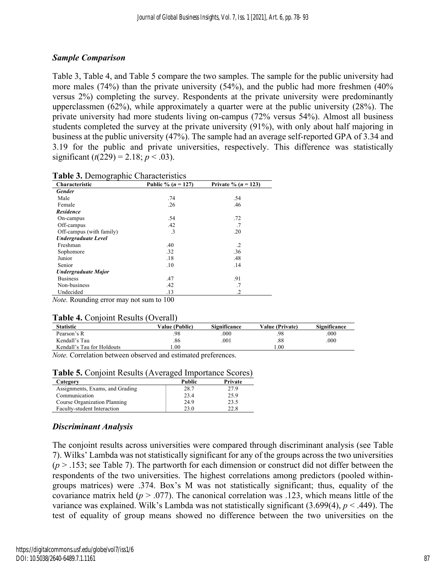#### *Sample Comparison*

Table 3, Table 4, and Table 5 compare the two samples. The sample for the public university had more males (74%) than the private university (54%), and the public had more freshmen (40% versus 2%) completing the survey. Respondents at the private university were predominantly upperclassmen (62%), while approximately a quarter were at the public university (28%). The private university had more students living on-campus (72% versus 54%). Almost all business students completed the survey at the private university (91%), with only about half majoring in business at the public university (47%). The sample had an average self-reported GPA of 3.34 and 3.19 for the public and private universities, respectively. This difference was statistically significant ( $t(229) = 2.18$ ;  $p < .03$ ).

| Characteristic             | Public % $(n = 127)$ | Private % $(n = 123)$ |
|----------------------------|----------------------|-----------------------|
| <b>Gender</b>              |                      |                       |
| Male                       | .74                  | .54                   |
| Female                     | .26                  | .46                   |
| <b>Residence</b>           |                      |                       |
| On-campus                  | .54                  | .72                   |
| Off-campus                 | .42                  | .7                    |
| Off-campus (with family)   | .3                   | .20                   |
| <b>Undergraduate Level</b> |                      |                       |
| Freshman                   | .40                  | $\cdot$               |
| Sophomore                  | .32                  | .36                   |
| Junior                     | .18                  | .48                   |
| Senior                     | .10                  | .14                   |
| Undergraduate Major        |                      |                       |
| <b>Business</b>            | .47                  | .91                   |
| Non-business               | .42                  | .7                    |
| Undecided                  | .13                  | $\cdot$               |
|                            |                      |                       |

*Note.* Rounding error may not sum to 100

#### **Table 4.** Conjoint Results (Overall)

| <b>Statistic</b>           | <b>Value (Public)</b> | Significance | <b>Value (Private)</b> | Significance |
|----------------------------|-----------------------|--------------|------------------------|--------------|
| Pearson's R                | .98                   | .000         | .98                    | .000         |
| Kendall's Tau              | .86                   | .001         | .88                    | .000         |
| Kendall's Tau for Holdouts | .00                   |              | .00                    |              |

*Note.* Correlation between observed and estimated preferences.

| Table 5. Conjoint Results (Averaged Importance Scores) |  |  |
|--------------------------------------------------------|--|--|
|--------------------------------------------------------|--|--|

| Category                        | Public | Private |
|---------------------------------|--------|---------|
| Assignments, Exams, and Grading | 28.7   | 27.9    |
| Communication                   | 23.4   | 25.9    |
| Course Organization Planning    | 24.9   | 23.5    |
| Faculty-student Interaction     | 23.0   | 22.8    |

# *Discriminant Analysis*

The conjoint results across universities were compared through discriminant analysis (see Table 7). Wilks' Lambda was not statistically significant for any of the groups across the two universities  $(p > 0.153)$ ; see Table 7). The partworth for each dimension or construct did not differ between the respondents of the two universities. The highest correlations among predictors (pooled withingroups matrices) were .374. Box's M was not statistically significant; thus, equality of the covariance matrix held  $(p > .077)$ . The canonical correlation was .123, which means little of the variance was explained. Wilk's Lambda was not statistically significant (3.699(4), *p* < .449). The test of equality of group means showed no difference between the two universities on the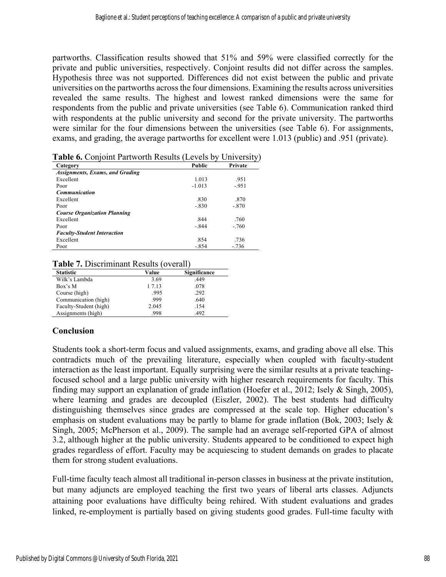partworths. Classification results showed that 51% and 59% were classified correctly for the private and public universities, respectively. Conjoint results did not differ across the samples. Hypothesis three was not supported. Differences did not exist between the public and private universities on the partworths across the four dimensions. Examining the results across universities revealed the same results. The highest and lowest ranked dimensions were the same for respondents from the public and private universities (see Table 6). Communication ranked third with respondents at the public university and second for the private university. The partworths were similar for the four dimensions between the universities (see Table 6). For assignments, exams, and grading, the average partworths for excellent were 1.013 (public) and .951 (private).

|                                        | <b>Table 0.</b> Conjoint I arrworth Ixesales (Levels 0) Only Clisty) |         |  |
|----------------------------------------|----------------------------------------------------------------------|---------|--|
| Category                               | Public                                                               | Private |  |
| <b>Assignments, Exams, and Grading</b> |                                                                      |         |  |
| Excellent                              | 1.013                                                                | .951    |  |
| Poor                                   | $-1.013$                                                             | $-.951$ |  |
| <b>Communication</b>                   |                                                                      |         |  |
| Excellent                              | .830                                                                 | .870    |  |
| Poor                                   | $-.830$                                                              | $-.870$ |  |
| <b>Course Organization Planning</b>    |                                                                      |         |  |
| Excellent                              | .844                                                                 | .760    |  |
| Poor                                   | $-.844$                                                              | $-.760$ |  |
| <b>Faculty-Student Interaction</b>     |                                                                      |         |  |
| Excellent                              | .854                                                                 | .736    |  |
| Poor                                   | -.854                                                                | $-.736$ |  |

| Table 6. Conjoint Partworth Results (Levels by University) |  |
|------------------------------------------------------------|--|
|                                                            |  |

#### **Table 7.** Discriminant Results (overall)

| <b>Statistic</b>       | Value  | Significance |
|------------------------|--------|--------------|
| Wilk's Lambda          | 3.69   | .449         |
| Box's M                | 1 7.13 | .078         |
| Course (high)          | .995   | .292         |
| Communication (high)   | .999   | .640         |
| Faculty-Student (high) | 2.045  | .154         |
| Assignments (high)     | .998   | .492         |

#### **Conclusion**

Students took a short-term focus and valued assignments, exams, and grading above all else. This contradicts much of the prevailing literature, especially when coupled with faculty-student interaction as the least important. Equally surprising were the similar results at a private teachingfocused school and a large public university with higher research requirements for faculty. This finding may support an explanation of grade inflation (Hoefer et al., 2012; Isely & Singh, 2005), where learning and grades are decoupled (Eiszler, 2002). The best students had difficulty distinguishing themselves since grades are compressed at the scale top. Higher education's emphasis on student evaluations may be partly to blame for grade inflation (Bok, 2003; Isely & Singh, 2005; McPherson et al., 2009). The sample had an average self-reported GPA of almost 3.2, although higher at the public university. Students appeared to be conditioned to expect high grades regardless of effort. Faculty may be acquiescing to student demands on grades to placate them for strong student evaluations.

Full-time faculty teach almost all traditional in-person classes in business at the private institution, but many adjuncts are employed teaching the first two years of liberal arts classes. Adjuncts attaining poor evaluations have difficulty being rehired. With student evaluations and grades linked, re-employment is partially based on giving students good grades. Full-time faculty with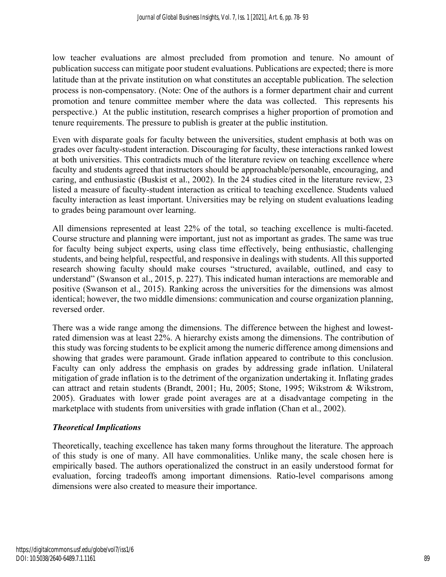low teacher evaluations are almost precluded from promotion and tenure. No amount of publication success can mitigate poor student evaluations. Publications are expected; there is more latitude than at the private institution on what constitutes an acceptable publication. The selection process is non-compensatory. (Note: One of the authors is a former department chair and current promotion and tenure committee member where the data was collected. This represents his perspective.) At the public institution, research comprises a higher proportion of promotion and tenure requirements. The pressure to publish is greater at the public institution.

Even with disparate goals for faculty between the universities, student emphasis at both was on grades over faculty-student interaction. Discouraging for faculty, these interactions ranked lowest at both universities. This contradicts much of the literature review on teaching excellence where faculty and students agreed that instructors should be approachable/personable, encouraging, and caring, and enthusiastic (Buskist et al., 2002). In the 24 studies cited in the literature review, 23 listed a measure of faculty-student interaction as critical to teaching excellence. Students valued faculty interaction as least important. Universities may be relying on student evaluations leading to grades being paramount over learning.

All dimensions represented at least 22% of the total, so teaching excellence is multi-faceted. Course structure and planning were important, just not as important as grades. The same was true for faculty being subject experts, using class time effectively, being enthusiastic, challenging students, and being helpful, respectful, and responsive in dealings with students. All this supported research showing faculty should make courses "structured, available, outlined, and easy to understand" (Swanson et al., 2015, p. 227). This indicated human interactions are memorable and positive (Swanson et al., 2015). Ranking across the universities for the dimensions was almost identical; however, the two middle dimensions: communication and course organization planning, reversed order.

There was a wide range among the dimensions. The difference between the highest and lowestrated dimension was at least 22%. A hierarchy exists among the dimensions. The contribution of this study was forcing students to be explicit among the numeric difference among dimensions and showing that grades were paramount. Grade inflation appeared to contribute to this conclusion. Faculty can only address the emphasis on grades by addressing grade inflation. Unilateral mitigation of grade inflation is to the detriment of the organization undertaking it. Inflating grades can attract and retain students (Brandt, 2001; Hu, 2005; Stone, 1995; Wikstrom & Wikstrom, 2005). Graduates with lower grade point averages are at a disadvantage competing in the marketplace with students from universities with grade inflation (Chan et al., 2002).

#### *Theoretical Implications*

Theoretically, teaching excellence has taken many forms throughout the literature. The approach of this study is one of many. All have commonalities. Unlike many, the scale chosen here is empirically based. The authors operationalized the construct in an easily understood format for evaluation, forcing tradeoffs among important dimensions. Ratio-level comparisons among dimensions were also created to measure their importance.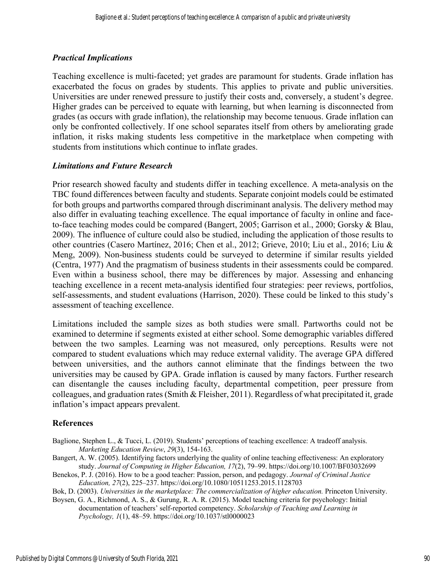#### *Practical Implications*

Teaching excellence is multi-faceted; yet grades are paramount for students. Grade inflation has exacerbated the focus on grades by students. This applies to private and public universities. Universities are under renewed pressure to justify their costs and, conversely, a student's degree. Higher grades can be perceived to equate with learning, but when learning is disconnected from grades (as occurs with grade inflation), the relationship may become tenuous. Grade inflation can only be confronted collectively. If one school separates itself from others by ameliorating grade inflation, it risks making students less competitive in the marketplace when competing with students from institutions which continue to inflate grades.

#### *Limitations and Future Research*

Prior research showed faculty and students differ in teaching excellence. A meta-analysis on the TBC found differences between faculty and students. Separate conjoint models could be estimated for both groups and partworths compared through discriminant analysis. The delivery method may also differ in evaluating teaching excellence. The equal importance of faculty in online and faceto-face teaching modes could be compared (Bangert, 2005; Garrison et al., 2000; Gorsky & Blau, 2009). The influence of culture could also be studied, including the application of those results to other countries (Casero Martínez, 2016; Chen et al., 2012; Grieve, 2010; Liu et al., 2016; Liu & Meng, 2009). Non-business students could be surveyed to determine if similar results yielded (Centra, 1977) And the pragmatism of business students in their assessments could be compared. Even within a business school, there may be differences by major. Assessing and enhancing teaching excellence in a recent meta-analysis identified four strategies: peer reviews, portfolios, self-assessments, and student evaluations (Harrison, 2020). These could be linked to this study's assessment of teaching excellence.

Limitations included the sample sizes as both studies were small. Partworths could not be examined to determine if segments existed at either school. Some demographic variables differed between the two samples. Learning was not measured, only perceptions. Results were not compared to student evaluations which may reduce external validity. The average GPA differed between universities, and the authors cannot eliminate that the findings between the two universities may be caused by GPA. Grade inflation is caused by many factors. Further research can disentangle the causes including faculty, departmental competition, peer pressure from colleagues, and graduation rates (Smith & Fleisher, 2011). Regardless of what precipitated it, grade inflation's impact appears prevalent.

#### **References**

- Baglione, Stephen L., & Tucci, L. (2019). Students' perceptions of teaching excellence: A tradeoff analysis. *Marketing Education Review*, *29*(3), 154-163.
- Bangert, A. W. (2005). Identifying factors underlying the quality of online teaching effectiveness: An exploratory study. *Journal of Computing in Higher Education, 17*(2), 79–99. https://doi.org/10.1007/BF03032699

Benekos, P. J. (2016). How to be a good teacher: Passion, person, and pedagogy. *Journal of Criminal Justice Education, 27*(2), 225–237. https://doi.org/10.1080/10511253.2015.1128703

Bok, D. (2003). *Universities in the marketplace: The commercialization of higher education.* Princeton University.

Boysen, G. A., Richmond, A. S., & Gurung, R. A. R. (2015). Model teaching criteria for psychology: Initial documentation of teachers' self-reported competency. *Scholarship of Teaching and Learning in Psychology, 1*(1), 48–59. https://doi.org/10.1037/stl0000023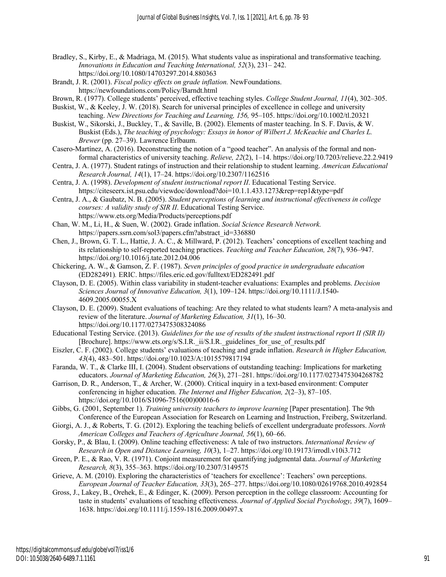- Bradley, S., Kirby, E., & Madriaga, M. (2015). What students value as inspirational and transformative teaching. *Innovations in Education and Teaching International, 52*(3), 231– 242. https://doi.org/10.1080/14703297.2014.880363
- Brandt, J. R. (2001). *Fiscal policy effects on grade inflation.* NewFoundations. https://newfoundations.com/Policy/Barndt.html
- Brown, R. (1977). College students' perceived, effective teaching styles. *College Student Journal, 11*(4), 302–305.
- Buskist, W., & Keeley, J. W. (2018). Search for universal principles of excellence in college and university teaching. *New Directions for Teaching and Learning, 156,* 95–105. https://doi.org/10.1002/tl.20321
- Buskist, W., Sikorski, J., Buckley, T., & Saville, B. (2002). Elements of master teaching. In S. F. Davis, & W. Buskist (Eds.), *The teaching of psychology: Essays in honor of Wilbert J. McKeachie and Charles L. Brewer* (pp. 27–39). Lawrence Erlbaum.
- Casero-Martínez, A. (2016). Deconstructing the notion of a "good teacher". An analysis of the formal and nonformal characteristics of university teaching. *Relieve, 22*(2), 1–14. https://doi.org/10.7203/relieve.22.2.9419
- Centra, J. A. (1977). Student ratings of instruction and their relationship to student learning. *American Educational Research Journal, 14*(1), 17–24. https://doi.org/10.2307/1162516
- Centra, J. A. (1998). *Development of student instructional report II*. Educational Testing Service. https://citeseerx.ist.psu.edu/viewdoc/download?doi=10.1.1.433.1273&rep=rep1&type=pdf
- Centra, J. A., & Gaubatz, N. B. (2005). *Student perceptions of learning and instructional effectiveness in college courses: A validity study of SIR II*. Educational Testing Service. https://www.ets.org/Media/Products/perceptions.pdf
- Chan, W. M., Li, H., & Suen, W. (2002). Grade inflation. *Social Science Research Network.* https://papers.ssrn.com/sol3/papers.cfm?abstract\_id=336880
- Chen, J., Brown, G. T. L., Hattie, J. A. C., & Millward, P. (2012). Teachers' conceptions of excellent teaching and its relationship to self-reported teaching practices. *Teaching and Teacher Education, 28*(7), 936–947. https://doi.org/10.1016/j.tate.2012.04.006
- Chickering, A. W., & Gamson, Z. F. (1987). *Seven principles of good practice in undergraduate education* (ED282491)*.* ERIC. https://files.eric.ed.gov/fulltext/ED282491.pdf
- Clayson, D. E. (2005). Within class variability in student-teacher evaluations: Examples and problems. *Decision Sciences Journal of Innovative Education, 3*(1), 109–124. https://doi.org/10.1111/J.1540- 4609.2005.00055.X
- Clayson, D. E. (2009). Student evaluations of teaching: Are they related to what students learn? A meta-analysis and review of the literature. *Journal of Marketing Education, 31*(1), 16–30. https://doi.org/10.1177/0273475308324086
- Educational Testing Service. (2013). *Guidelines for the use of results of the student instructional report II (SIR II)* [Brochure]. https://www.ets.org/s/S.I.R.\_ii/S.I.R.\_guidelines\_for\_use\_of\_results.pdf
- Eiszler, C. F. (2002). College students' evaluations of teaching and grade inflation. *Research in Higher Education, 43*(4), 483–501. https://doi.org/10.1023/A:1015579817194
- Faranda, W. T., & Clarke III, I. (2004). Student observations of outstanding teaching: Implications for marketing educators. *Journal of Marketing Education, 26*(3), 271–281. https://doi.org/10.1177/0273475304268782
- Garrison, D. R., Anderson, T., & Archer, W. (2000). Critical inquiry in a text-based environment: Computer conferencing in higher education. *The Internet and Higher Education, 2*(2–3), 87–105. https://doi.org/10.1016/S1096-7516(00)00016-6
- Gibbs, G. (2001, September 1). *Training university teachers to improve learning* [Paper presentation]. The 9th Conference of the European Association for Research on Learning and Instruction, Freiberg, Switzerland.
- Giorgi, A. J., & Roberts, T. G. (2012). Exploring the teaching beliefs of excellent undergraduate professors. *North American Colleges and Teachers of Agriculture Journal, 56*(1), 60–66.
- Gorsky, P., & Blau, I. (2009). Online teaching effectiveness: A tale of two instructors. *International Review of Research in Open and Distance Learning, 10*(3), 1–27. https://doi.org/10.19173/irrodl.v10i3.712
- Green, P. E., & Rao, V. R. (1971). Conjoint measurement for quantifying judgmental data. *Journal of Marketing Research, 8*(3), 355–363. https://doi.org/10.2307/3149575
- Grieve, A. M. (2010). Exploring the characteristics of 'teachers for excellence': Teachers' own perceptions. *European Journal of Teacher Education, 33*(3), 265–277. https://doi.org/10.1080/02619768.2010.492854
- Gross, J., Lakey, B., Orehek, E., & Edinger, K. (2009). Person perception in the college classroom: Accounting for taste in students' evaluations of teaching effectiveness. *Journal of Applied Social Psychology, 39*(7), 1609– 1638. https://doi.org/10.1111/j.1559-1816.2009.00497.x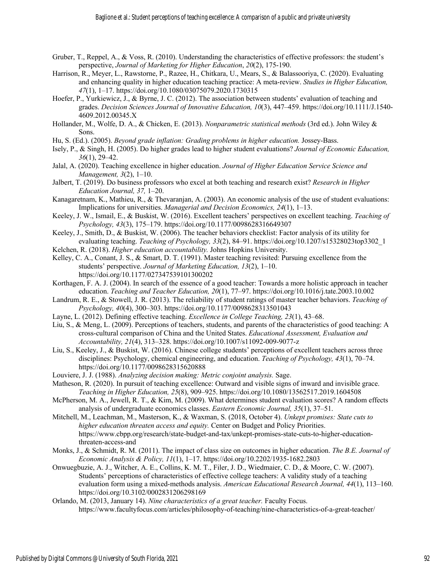- Gruber, T., Reppel, A., & Voss, R. (2010). Understanding the characteristics of effective professors: the student's perspective, *Journal of Marketing for Higher Education*, *20*(2), 175-190.
- Harrison, R., Meyer, L., Rawstorne, P., Razee, H., Chitkara, U., Mears, S., & Balassooriya, C. (2020). Evaluating and enhancing quality in higher education teaching practice: A meta-review. *Studies in Higher Education, 47*(1), 1–17. https://doi.org/10.1080/03075079.2020.1730315
- Hoefer, P., Yurkiewicz, J., & Byrne, J. C. (2012). The association between students' evaluation of teaching and grades. *Decision Sciences Journal of Innovative Education, 10*(3), 447–459. https://doi.org/10.1111/J.1540- 4609.2012.00345.X
- Hollander, M., Wolfe, D. A., & Chicken, E. (2013). *Nonparametric statistical methods* (3rd ed.). John Wiley & Sons.
- Hu, S. (Ed.). (2005). *Beyond grade inflation: Grading problems in higher education*. Jossey-Bass.
- Isely, P., & Singh, H. (2005). Do higher grades lead to higher student evaluations? *Journal of Economic Education, 36*(1), 29–42.
- Jalal, A. (2020). Teaching excellence in higher education. *Journal of Higher Education Service Science and Management, 3*(2), 1–10.
- Jalbert, T. (2019). Do business professors who excel at both teaching and research exist? *Research in Higher Education Journal, 37,* 1–20.
- Kanagaretnam, K., Mathieu, R., & Thevaranjan, A. (2003). An economic analysis of the use of student evaluations: Implications for universities. *Managerial and Decision Economics, 24*(1), 1–13.
- Keeley, J. W., Ismail, E., & Buskist, W. (2016). Excellent teachers' perspectives on excellent teaching. *Teaching of Psychology, 43*(3), 175–179. https://doi.org/10.1177/0098628316649307
- Keeley, J., Smith, D., & Buskist, W. (2006). The teacher behaviors checklist: Factor analysis of its utility for evaluating teaching. *Teaching of Psychology, 33*(2), 84–91. https://doi.org/10.1207/s15328023top3302\_1
- Kelchen, R. (2018). *Higher education accountability.* Johns Hopkins University.
- Kelley, C. A., Conant, J. S., & Smart, D. T. (1991). Master teaching revisited: Pursuing excellence from the students' perspective. *Journal of Marketing Education, 13*(2), 1–10. https://doi.org/10.1177/027347539101300202
- Korthagen, F. A. J. (2004). In search of the essence of a good teacher: Towards a more holistic approach in teacher education. *Teaching and Teacher Education, 20*(1), 77–97. https://doi.org/10.1016/j.tate.2003.10.002
- Landrum, R. E., & Stowell, J. R. (2013). The reliability of student ratings of master teacher behaviors. *Teaching of Psychology, 40*(4), 300–303. https://doi.org/10.1177/0098628313501043
- Layne, L. (2012). Defining effective teaching. *Excellence in College Teaching, 23*(1), 43–68.
- Liu, S., & Meng, L. (2009). Perceptions of teachers, students, and parents of the characteristics of good teaching: A cross-cultural comparison of China and the United States. *Educational Assessment, Evaluation and Accountability, 21*(4), 313–328. https://doi.org/10.1007/s11092-009-9077-z
- Liu, S., Keeley, J., & Buskist, W. (2016). Chinese college students' perceptions of excellent teachers across three disciplines: Psychology, chemical engineering, and education. *Teaching of Psychology, 43*(1), 70–74. https://doi.org/10.1177/0098628315620888
- Louviere, J. J. (1988). *Analyzing decision making: Metric conjoint analysis.* Sage.
- Matheson, R. (2020). In pursuit of teaching excellence: Outward and visible signs of inward and invisible grace. *Teaching in Higher Education, 25*(8), 909–925. https://doi.org/10.1080/13562517.2019.1604508
- McPherson, M. A., Jewell, R. T., & Kim, M. (2009). What determines student evaluation scores? A random effects analysis of undergraduate economics classes. *Eastern Economic Journal, 35*(1), 37–51.
- Mitchell, M., Leachman, M., Masterson, K., & Waxman, S. (2018, October 4). *Unkept promises: State cuts to higher education threaten access and equity.* Center on Budget and Policy Priorities. https://www.cbpp.org/research/state-budget-and-tax/unkept-promises-state-cuts-to-higher-educationthreaten-access-and
- Monks, J., & Schmidt, R. M. (2011). The impact of class size on outcomes in higher education. *The B.E. Journal of Economic Analysis & Policy, 11*(1), 1–17. https://doi.org/10.2202/1935-1682.2803
- Onwuegbuzie, A. J., Witcher, A. E., Collins, K. M. T., Filer, J. D., Wiedmaier, C. D., & Moore, C. W. (2007). Students' perceptions of characteristics of effective college teachers: A validity study of a teaching evaluation form using a mixed-methods analysis. *American Educational Research Journal, 44*(1), 113–160. https://doi.org/10.3102/0002831206298169
- Orlando, M. (2013, January 14). *Nine characteristics of a great teacher.* Faculty Focus. https://www.facultyfocus.com/articles/philosophy-of-teaching/nine-characteristics-of-a-great-teacher/